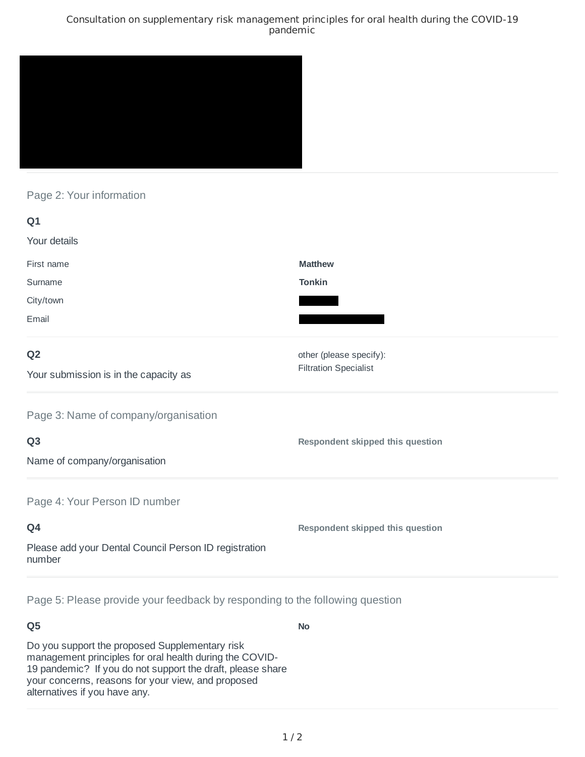### Consultation on supplementary risk management principles for oral health during the COVID-19 pandemic



## Page 2: Your information

| Q1                                                              |                                  |
|-----------------------------------------------------------------|----------------------------------|
| Your details                                                    |                                  |
| First name                                                      | <b>Matthew</b>                   |
| Surname                                                         | <b>Tonkin</b>                    |
| City/town                                                       |                                  |
| Email                                                           |                                  |
| Q <sub>2</sub>                                                  | other (please specify):          |
| Your submission is in the capacity as                           | <b>Filtration Specialist</b>     |
| Page 3: Name of company/organisation                            |                                  |
| Q <sub>3</sub>                                                  | Respondent skipped this question |
| Name of company/organisation                                    |                                  |
| Page 4: Your Person ID number                                   |                                  |
| Q4                                                              | Respondent skipped this question |
| Please add your Dental Council Person ID registration<br>number |                                  |
|                                                                 |                                  |

Page 5: Please provide your feedback by responding to the following question

# **Q5**

Do you support the proposed Supplementary risk management principles for oral health during the COVID-19 pandemic? If you do not support the draft, please share your concerns, reasons for your view, and proposed alternatives if you have any.

**No**